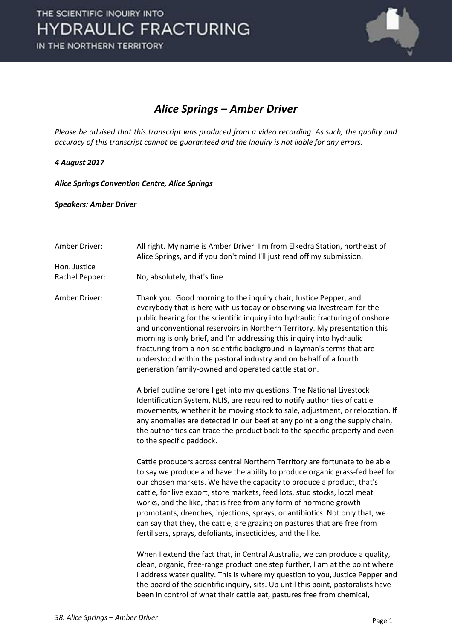

#### *Alice Springs – Amber Driver*

*Please be advised that this transcript was produced from a video recording. As such, the quality and accuracy of this transcript cannot be guaranteed and the Inquiry is not liable for any errors.* 

#### *4 August 2017*

*Alice Springs Convention Centre, Alice Springs* 

*Speakers: Amber Driver* 

| Amber Driver:  | All right. My name is Amber Driver. I'm from Elkedra Station, northeast of<br>Alice Springs, and if you don't mind I'll just read off my submission.                                                                                                                                                                                                                                                                                                                                                                                                                                                                |
|----------------|---------------------------------------------------------------------------------------------------------------------------------------------------------------------------------------------------------------------------------------------------------------------------------------------------------------------------------------------------------------------------------------------------------------------------------------------------------------------------------------------------------------------------------------------------------------------------------------------------------------------|
| Hon. Justice   |                                                                                                                                                                                                                                                                                                                                                                                                                                                                                                                                                                                                                     |
| Rachel Pepper: | No, absolutely, that's fine.                                                                                                                                                                                                                                                                                                                                                                                                                                                                                                                                                                                        |
| Amber Driver:  | Thank you. Good morning to the inquiry chair, Justice Pepper, and<br>everybody that is here with us today or observing via livestream for the<br>public hearing for the scientific inquiry into hydraulic fracturing of onshore<br>and unconventional reservoirs in Northern Territory. My presentation this<br>morning is only brief, and I'm addressing this inquiry into hydraulic<br>fracturing from a non-scientific background in layman's terms that are<br>understood within the pastoral industry and on behalf of a fourth<br>generation family-owned and operated cattle station.                        |
|                | A brief outline before I get into my questions. The National Livestock<br>Identification System, NLIS, are required to notify authorities of cattle<br>movements, whether it be moving stock to sale, adjustment, or relocation. If<br>any anomalies are detected in our beef at any point along the supply chain,<br>the authorities can trace the product back to the specific property and even<br>to the specific paddock.                                                                                                                                                                                      |
|                | Cattle producers across central Northern Territory are fortunate to be able<br>to say we produce and have the ability to produce organic grass-fed beef for<br>our chosen markets. We have the capacity to produce a product, that's<br>cattle, for live export, store markets, feed lots, stud stocks, local meat<br>works, and the like, that is free from any form of hormone growth<br>promotants, drenches, injections, sprays, or antibiotics. Not only that, we<br>can say that they, the cattle, are grazing on pastures that are free from<br>fertilisers, sprays, defoliants, insecticides, and the like. |
|                | When I extend the fact that, in Central Australia, we can produce a quality,<br>clean, organic, free-range product one step further, I am at the point where<br>I address water quality. This is where my question to you, Justice Pepper and<br>the board of the scientific inquiry, sits. Up until this point, pastoralists have<br>been in control of what their cattle eat, pastures free from chemical,                                                                                                                                                                                                        |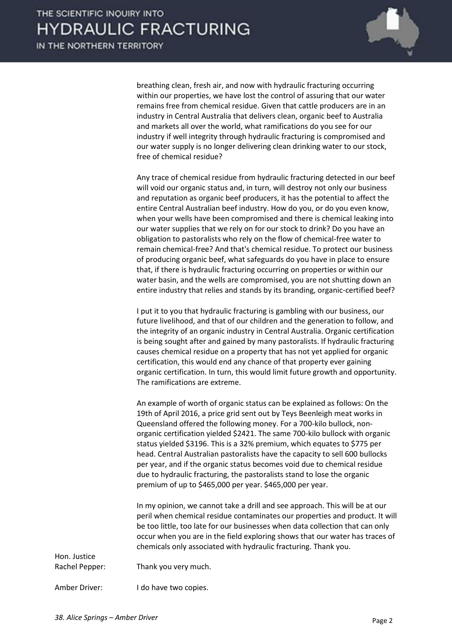

breathing clean, fresh air, and now with hydraulic fracturing occurring within our properties, we have lost the control of assuring that our water remains free from chemical residue. Given that cattle producers are in an industry in Central Australia that delivers clean, organic beef to Australia and markets all over the world, what ramifications do you see for our industry if well integrity through hydraulic fracturing is compromised and our water supply is no longer delivering clean drinking water to our stock, free of chemical residue?

 Any trace of chemical residue from hydraulic fracturing detected in our beef will void our organic status and, in turn, will destroy not only our business and reputation as organic beef producers, it has the potential to affect the entire Central Australian beef industry. How do you, or do you even know, when your wells have been compromised and there is chemical leaking into our water supplies that we rely on for our stock to drink? Do you have an obligation to pastoralists who rely on the flow of chemical-free water to remain chemical-free? And that's chemical residue. To protect our business of producing organic beef, what safeguards do you have in place to ensure that, if there is hydraulic fracturing occurring on properties or within our water basin, and the wells are compromised, you are not shutting down an entire industry that relies and stands by its branding, organic-certified beef?

 I put it to you that hydraulic fracturing is gambling with our business, our future livelihood, and that of our children and the generation to follow, and the integrity of an organic industry in Central Australia. Organic certification is being sought after and gained by many pastoralists. If hydraulic fracturing causes chemical residue on a property that has not yet applied for organic certification, this would end any chance of that property ever gaining organic certification. In turn, this would limit future growth and opportunity. The ramifications are extreme.

 An example of worth of organic status can be explained as follows: On the 19th of April 2016, a price grid sent out by Teys Beenleigh meat works in Queensland offered the following money. For a 700-kilo bullock, nonorganic certification yielded \$2421. The same 700-kilo bullock with organic status yielded \$3196. This is a 32% premium, which equates to \$775 per head. Central Australian pastoralists have the capacity to sell 600 bullocks per year, and if the organic status becomes void due to chemical residue due to hydraulic fracturing, the pastoralists stand to lose the organic premium of up to \$465,000 per year. \$465,000 per year.

 In my opinion, we cannot take a drill and see approach. This will be at our peril when chemical residue contaminates our properties and product. It will be too little, too late for our businesses when data collection that can only occur when you are in the field exploring shows that our water has traces of chemicals only associated with hydraulic fracturing. Thank you.

| Rachel Pepper: | Thank you very much. |
|----------------|----------------------|

Amber Driver: I do have two copies.

Hon. Justice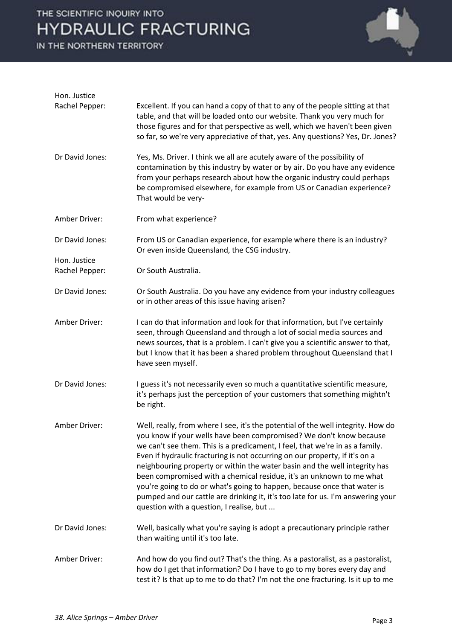IN THE NORTHERN TERRITORY



| Hon. Justice                   |                                                                                                                                                                                                                                                                                                                                                                                                                                                                                                                                                                                                                                                                                         |
|--------------------------------|-----------------------------------------------------------------------------------------------------------------------------------------------------------------------------------------------------------------------------------------------------------------------------------------------------------------------------------------------------------------------------------------------------------------------------------------------------------------------------------------------------------------------------------------------------------------------------------------------------------------------------------------------------------------------------------------|
| Rachel Pepper:                 | Excellent. If you can hand a copy of that to any of the people sitting at that<br>table, and that will be loaded onto our website. Thank you very much for<br>those figures and for that perspective as well, which we haven't been given<br>so far, so we're very appreciative of that, yes. Any questions? Yes, Dr. Jones?                                                                                                                                                                                                                                                                                                                                                            |
| Dr David Jones:                | Yes, Ms. Driver. I think we all are acutely aware of the possibility of<br>contamination by this industry by water or by air. Do you have any evidence<br>from your perhaps research about how the organic industry could perhaps<br>be compromised elsewhere, for example from US or Canadian experience?<br>That would be very-                                                                                                                                                                                                                                                                                                                                                       |
| Amber Driver:                  | From what experience?                                                                                                                                                                                                                                                                                                                                                                                                                                                                                                                                                                                                                                                                   |
| Dr David Jones:                | From US or Canadian experience, for example where there is an industry?<br>Or even inside Queensland, the CSG industry.                                                                                                                                                                                                                                                                                                                                                                                                                                                                                                                                                                 |
| Hon. Justice<br>Rachel Pepper: | Or South Australia.                                                                                                                                                                                                                                                                                                                                                                                                                                                                                                                                                                                                                                                                     |
| Dr David Jones:                | Or South Australia. Do you have any evidence from your industry colleagues<br>or in other areas of this issue having arisen?                                                                                                                                                                                                                                                                                                                                                                                                                                                                                                                                                            |
| Amber Driver:                  | I can do that information and look for that information, but I've certainly<br>seen, through Queensland and through a lot of social media sources and<br>news sources, that is a problem. I can't give you a scientific answer to that,<br>but I know that it has been a shared problem throughout Queensland that I<br>have seen myself.                                                                                                                                                                                                                                                                                                                                               |
| Dr David Jones:                | I guess it's not necessarily even so much a quantitative scientific measure,<br>it's perhaps just the perception of your customers that something mightn't<br>be right.                                                                                                                                                                                                                                                                                                                                                                                                                                                                                                                 |
| Amber Driver:                  | Well, really, from where I see, it's the potential of the well integrity. How do<br>you know if your wells have been compromised? We don't know because<br>we can't see them. This is a predicament, I feel, that we're in as a family.<br>Even if hydraulic fracturing is not occurring on our property, if it's on a<br>neighbouring property or within the water basin and the well integrity has<br>been compromised with a chemical residue, it's an unknown to me what<br>you're going to do or what's going to happen, because once that water is<br>pumped and our cattle are drinking it, it's too late for us. I'm answering your<br>question with a question, I realise, but |
| Dr David Jones:                | Well, basically what you're saying is adopt a precautionary principle rather<br>than waiting until it's too late.                                                                                                                                                                                                                                                                                                                                                                                                                                                                                                                                                                       |
| Amber Driver:                  | And how do you find out? That's the thing. As a pastoralist, as a pastoralist,<br>how do I get that information? Do I have to go to my bores every day and<br>test it? Is that up to me to do that? I'm not the one fracturing. Is it up to me                                                                                                                                                                                                                                                                                                                                                                                                                                          |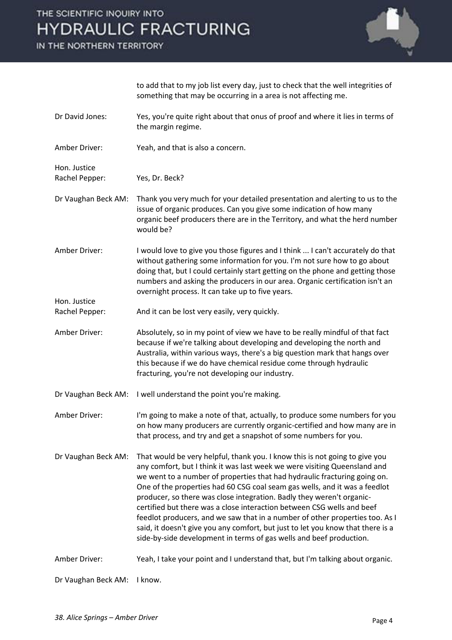IN THE NORTHERN TERRITORY



to add that to my job list every day, just to check that the well integrities of something that may be occurring in a area is not affecting me.

- Dr David Jones: Yes, you're quite right about that onus of proof and where it lies in terms of the margin regime.
- Amber Driver: Yeah, and that is also a concern.

Hon. Justice Rachel Pepper: Yes, Dr. Beck?

Hon. Justice

Dr Vaughan Beck AM: Thank you very much for your detailed presentation and alerting to us to the issue of organic produces. Can you give some indication of how many organic beef producers there are in the Territory, and what the herd number would be?

Amber Driver: I would love to give you those figures and I think ... I can't accurately do that without gathering some information for you. I'm not sure how to go about doing that, but I could certainly start getting on the phone and getting those numbers and asking the producers in our area. Organic certification isn't an overnight process. It can take up to five years.

Rachel Pepper: And it can be lost very easily, very quickly.

- Amber Driver: Absolutely, so in my point of view we have to be really mindful of that fact because if we're talking about developing and developing the north and Australia, within various ways, there's a big question mark that hangs over this because if we do have chemical residue come through hydraulic fracturing, you're not developing our industry.
- Dr Vaughan Beck AM: I well understand the point you're making.

Amber Driver: I'm going to make a note of that, actually, to produce some numbers for you on how many producers are currently organic-certified and how many are in that process, and try and get a snapshot of some numbers for you.

Dr Vaughan Beck AM: That would be very helpful, thank you. I know this is not going to give you any comfort, but I think it was last week we were visiting Queensland and we went to a number of properties that had hydraulic fracturing going on. One of the properties had 60 CSG coal seam gas wells, and it was a feedlot producer, so there was close integration. Badly they weren't organiccertified but there was a close interaction between CSG wells and beef feedlot producers, and we saw that in a number of other properties too. As I said, it doesn't give you any comfort, but just to let you know that there is a side-by-side development in terms of gas wells and beef production.

Amber Driver: Yeah, I take your point and I understand that, but I'm talking about organic.

Dr Vaughan Beck AM: I know.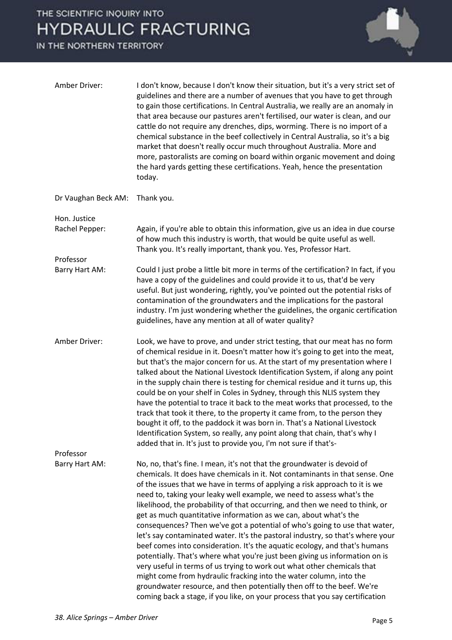IN THE NORTHERN TERRITORY



| Amber Driver:       | I don't know, because I don't know their situation, but it's a very strict set of<br>guidelines and there are a number of avenues that you have to get through<br>to gain those certifications. In Central Australia, we really are an anomaly in<br>that area because our pastures aren't fertilised, our water is clean, and our<br>cattle do not require any drenches, dips, worming. There is no import of a<br>chemical substance in the beef collectively in Central Australia, so it's a big<br>market that doesn't really occur much throughout Australia. More and<br>more, pastoralists are coming on board within organic movement and doing<br>the hard yards getting these certifications. Yeah, hence the presentation<br>today.                                                                                                                                                                                                                                                                                                                                                              |
|---------------------|-------------------------------------------------------------------------------------------------------------------------------------------------------------------------------------------------------------------------------------------------------------------------------------------------------------------------------------------------------------------------------------------------------------------------------------------------------------------------------------------------------------------------------------------------------------------------------------------------------------------------------------------------------------------------------------------------------------------------------------------------------------------------------------------------------------------------------------------------------------------------------------------------------------------------------------------------------------------------------------------------------------------------------------------------------------------------------------------------------------|
| Dr Vaughan Beck AM: | Thank you.                                                                                                                                                                                                                                                                                                                                                                                                                                                                                                                                                                                                                                                                                                                                                                                                                                                                                                                                                                                                                                                                                                  |
| Hon. Justice        |                                                                                                                                                                                                                                                                                                                                                                                                                                                                                                                                                                                                                                                                                                                                                                                                                                                                                                                                                                                                                                                                                                             |
| Rachel Pepper:      | Again, if you're able to obtain this information, give us an idea in due course<br>of how much this industry is worth, that would be quite useful as well.<br>Thank you. It's really important, thank you. Yes, Professor Hart.                                                                                                                                                                                                                                                                                                                                                                                                                                                                                                                                                                                                                                                                                                                                                                                                                                                                             |
| Professor           |                                                                                                                                                                                                                                                                                                                                                                                                                                                                                                                                                                                                                                                                                                                                                                                                                                                                                                                                                                                                                                                                                                             |
| Barry Hart AM:      | Could I just probe a little bit more in terms of the certification? In fact, if you<br>have a copy of the guidelines and could provide it to us, that'd be very<br>useful. But just wondering, rightly, you've pointed out the potential risks of<br>contamination of the groundwaters and the implications for the pastoral<br>industry. I'm just wondering whether the guidelines, the organic certification<br>guidelines, have any mention at all of water quality?                                                                                                                                                                                                                                                                                                                                                                                                                                                                                                                                                                                                                                     |
| Amber Driver:       | Look, we have to prove, and under strict testing, that our meat has no form<br>of chemical residue in it. Doesn't matter how it's going to get into the meat,<br>but that's the major concern for us. At the start of my presentation where I<br>talked about the National Livestock Identification System, if along any point<br>in the supply chain there is testing for chemical residue and it turns up, this<br>could be on your shelf in Coles in Sydney, through this NLIS system they<br>have the potential to trace it back to the meat works that processed, to the<br>track that took it there, to the property it came from, to the person they<br>bought it off, to the paddock it was born in. That's a National Livestock<br>Identification System, so really, any point along that chain, that's why I<br>added that in. It's just to provide you, I'm not sure if that's-                                                                                                                                                                                                                  |
| Professor           |                                                                                                                                                                                                                                                                                                                                                                                                                                                                                                                                                                                                                                                                                                                                                                                                                                                                                                                                                                                                                                                                                                             |
| Barry Hart AM:      | No, no, that's fine. I mean, it's not that the groundwater is devoid of<br>chemicals. It does have chemicals in it. Not contaminants in that sense. One<br>of the issues that we have in terms of applying a risk approach to it is we<br>need to, taking your leaky well example, we need to assess what's the<br>likelihood, the probability of that occurring, and then we need to think, or<br>get as much quantitative information as we can, about what's the<br>consequences? Then we've got a potential of who's going to use that water,<br>let's say contaminated water. It's the pastoral industry, so that's where your<br>beef comes into consideration. It's the aquatic ecology, and that's humans<br>potentially. That's where what you're just been giving us information on is<br>very useful in terms of us trying to work out what other chemicals that<br>might come from hydraulic fracking into the water column, into the<br>groundwater resource, and then potentially then off to the beef. We're<br>coming back a stage, if you like, on your process that you say certification |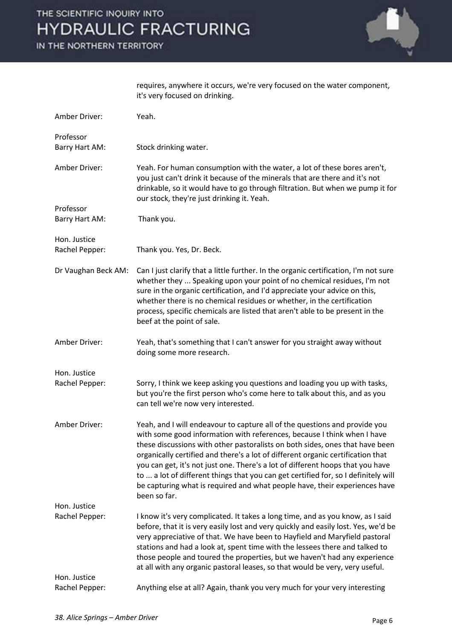IN THE NORTHERN TERRITORY



requires, anywhere it occurs, we're very focused on the water component, it's very focused on drinking.

| Amber Driver:                  | Yeah.                                                                                                                                                                                                                                                                                                                                                                                                                                                                                                                                                                                          |
|--------------------------------|------------------------------------------------------------------------------------------------------------------------------------------------------------------------------------------------------------------------------------------------------------------------------------------------------------------------------------------------------------------------------------------------------------------------------------------------------------------------------------------------------------------------------------------------------------------------------------------------|
| Professor<br>Barry Hart AM:    | Stock drinking water.                                                                                                                                                                                                                                                                                                                                                                                                                                                                                                                                                                          |
| Amber Driver:                  | Yeah. For human consumption with the water, a lot of these bores aren't,<br>you just can't drink it because of the minerals that are there and it's not<br>drinkable, so it would have to go through filtration. But when we pump it for<br>our stock, they're just drinking it. Yeah.                                                                                                                                                                                                                                                                                                         |
| Professor<br>Barry Hart AM:    | Thank you.                                                                                                                                                                                                                                                                                                                                                                                                                                                                                                                                                                                     |
| Hon. Justice<br>Rachel Pepper: | Thank you. Yes, Dr. Beck.                                                                                                                                                                                                                                                                                                                                                                                                                                                                                                                                                                      |
| Dr Vaughan Beck AM:            | Can I just clarify that a little further. In the organic certification, I'm not sure<br>whether they  Speaking upon your point of no chemical residues, I'm not<br>sure in the organic certification, and I'd appreciate your advice on this,<br>whether there is no chemical residues or whether, in the certification<br>process, specific chemicals are listed that aren't able to be present in the<br>beef at the point of sale.                                                                                                                                                          |
| Amber Driver:                  | Yeah, that's something that I can't answer for you straight away without<br>doing some more research.                                                                                                                                                                                                                                                                                                                                                                                                                                                                                          |
| Hon. Justice<br>Rachel Pepper: | Sorry, I think we keep asking you questions and loading you up with tasks,<br>but you're the first person who's come here to talk about this, and as you<br>can tell we're now very interested.                                                                                                                                                                                                                                                                                                                                                                                                |
| Amber Driver:                  | Yeah, and I will endeavour to capture all of the questions and provide you<br>with some good information with references, because I think when I have<br>these discussions with other pastoralists on both sides, ones that have been<br>organically certified and there's a lot of different organic certification that<br>you can get, it's not just one. There's a lot of different hoops that you have<br>to  a lot of different things that you can get certified for, so I definitely will<br>be capturing what is required and what people have, their experiences have<br>been so far. |
| Hon. Justice                   |                                                                                                                                                                                                                                                                                                                                                                                                                                                                                                                                                                                                |
| Rachel Pepper:                 | I know it's very complicated. It takes a long time, and as you know, as I said<br>before, that it is very easily lost and very quickly and easily lost. Yes, we'd be<br>very appreciative of that. We have been to Hayfield and Maryfield pastoral<br>stations and had a look at, spent time with the lessees there and talked to<br>those people and toured the properties, but we haven't had any experience<br>at all with any organic pastoral leases, so that would be very, very useful.                                                                                                 |
| Hon. Justice<br>Rachel Pepper: | Anything else at all? Again, thank you very much for your very interesting                                                                                                                                                                                                                                                                                                                                                                                                                                                                                                                     |
|                                |                                                                                                                                                                                                                                                                                                                                                                                                                                                                                                                                                                                                |